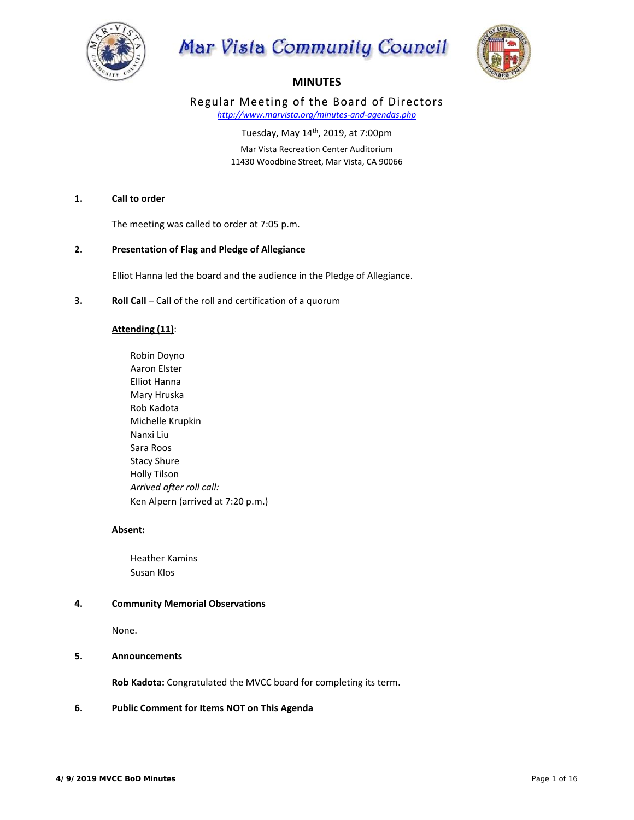

# Mar Vista Community Council



# **MINUTES**

Regular Meeting of the Board of Directors *http://www.marvista.org/minutes‐and‐agendas.php* 

> Tuesday, May 14th, 2019, at 7:00pm Mar Vista Recreation Center Auditorium

11430 Woodbine Street, Mar Vista, CA 90066

# **1. Call to order**

The meeting was called to order at 7:05 p.m.

**2. Presentation of Flag and Pledge of Allegiance** 

Elliot Hanna led the board and the audience in the Pledge of Allegiance.

**3. Roll Call** – Call of the roll and certification of a quorum

# **Attending (11)**:

 Robin Doyno Aaron Elster Elliot Hanna Mary Hruska Rob Kadota Michelle Krupkin Nanxi Liu Sara Roos Stacy Shure Holly Tilson *Arrived after roll call:*  Ken Alpern (arrived at 7:20 p.m.)

# **Absent:**

 Heather Kamins Susan Klos

# **4. Community Memorial Observations**

None.

# **5. Announcements**

**Rob Kadota:** Congratulated the MVCC board for completing its term.

# **6. Public Comment for Items NOT on This Agenda**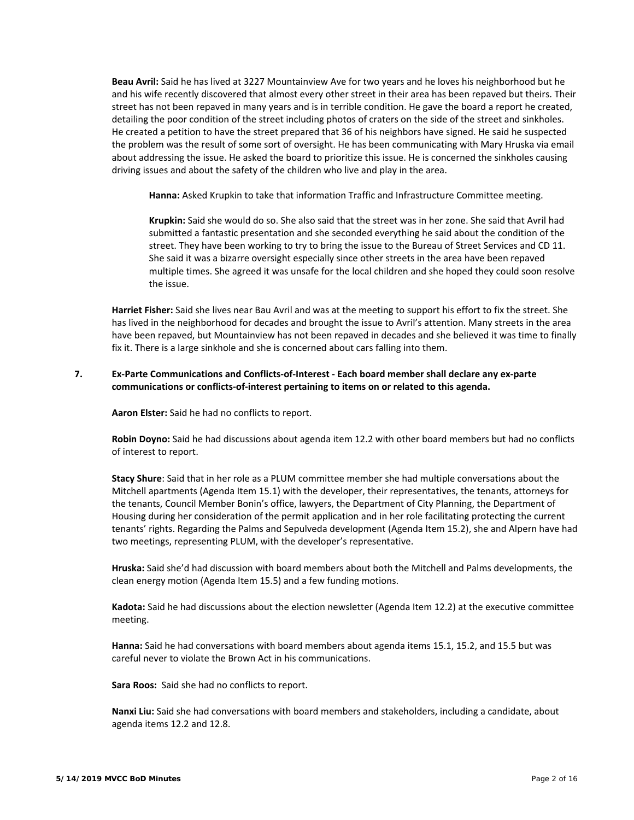**Beau Avril:** Said he has lived at 3227 Mountainview Ave for two years and he loves his neighborhood but he and his wife recently discovered that almost every other street in their area has been repaved but theirs. Their street has not been repaved in many years and is in terrible condition. He gave the board a report he created, detailing the poor condition of the street including photos of craters on the side of the street and sinkholes. He created a petition to have the street prepared that 36 of his neighbors have signed. He said he suspected the problem was the result of some sort of oversight. He has been communicating with Mary Hruska via email about addressing the issue. He asked the board to prioritize this issue. He is concerned the sinkholes causing driving issues and about the safety of the children who live and play in the area.

Hanna: Asked Krupkin to take that information Traffic and Infrastructure Committee meeting.

Krupkin: Said she would do so. She also said that the street was in her zone. She said that Avril had submitted a fantastic presentation and she seconded everything he said about the condition of the street. They have been working to try to bring the issue to the Bureau of Street Services and CD 11. She said it was a bizarre oversight especially since other streets in the area have been repaved multiple times. She agreed it was unsafe for the local children and she hoped they could soon resolve the issue.

 **Harriet Fisher:** Said she lives near Bau Avril and was at the meeting to support his effort to fix the street. She has lived in the neighborhood for decades and brought the issue to Avril's attention. Many streets in the area have been repaved, but Mountainview has not been repaved in decades and she believed it was time to finally fix it. There is a large sinkhole and she is concerned about cars falling into them.

# **7. Ex‐Parte Communications and Conflicts‐of‐Interest ‐ Each board member shall declare any ex‐parte communications or conflicts‐of‐interest pertaining to items on or related to this agenda.**

**Aaron Elster:** Said he had no conflicts to report.

 **Robin Doyno:** Said he had discussions about agenda item 12.2 with other board members but had no conflicts of interest to report.

 **Stacy Shure**: Said that in her role as a PLUM committee member she had multiple conversations about the Mitchell apartments (Agenda Item 15.1) with the developer, their representatives, the tenants, attorneys for the tenants, Council Member Bonin's office, lawyers, the Department of City Planning, the Department of Housing during her consideration of the permit application and in her role facilitating protecting the current tenants' rights. Regarding the Palms and Sepulveda development (Agenda Item 15.2), she and Alpern have had two meetings, representing PLUM, with the developer's representative.

 **Hruska:** Said she'd had discussion with board members about both the Mitchell and Palms developments, the clean energy motion (Agenda Item 15.5) and a few funding motions.

 **Kadota:** Said he had discussions about the election newsletter (Agenda Item 12.2) at the executive committee meeting.

 **Hanna:** Said he had conversations with board members about agenda items 15.1, 15.2, and 15.5 but was careful never to violate the Brown Act in his communications.

Sara Roos: Said she had no conflicts to report.

 **Nanxi Liu:** Said she had conversations with board members and stakeholders, including a candidate, about agenda items 12.2 and 12.8.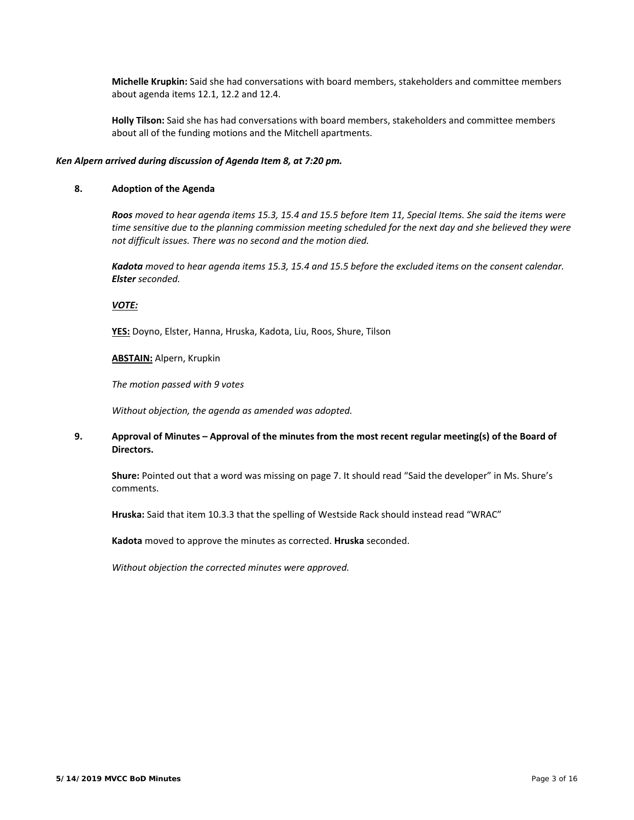**Michelle Krupkin:** Said she had conversations with board members, stakeholders and committee members about agenda items 12.1, 12.2 and 12.4.

 **Holly Tilson:** Said she has had conversations with board members, stakeholders and committee members about all of the funding motions and the Mitchell apartments.

#### *Ken Alpern arrived during discussion of Agenda Item 8, at 7:20 pm.*

## **8. Adoption of the Agenda**

 *Roos moved to hear agenda items 15.3, 15.4 and 15.5 before Item 11, Special Items. She said the items were time sensitive due to the planning commission meeting scheduled for the next day and she believed they were not difficult issues. There was no second and the motion died.* 

 *Kadota moved to hear agenda items 15.3, 15.4 and 15.5 before the excluded items on the consent calendar. Elster seconded.* 

#### *VOTE:*

**YES:** Doyno, Elster, Hanna, Hruska, Kadota, Liu, Roos, Shure, Tilson

**ABSTAIN:** Alpern, Krupkin

*The motion passed with 9 votes*

*Without objection, the agenda as amended was adopted.* 

## **9. Approval of Minutes – Approval of the minutes from the most recent regular meeting(s) of the Board of**  Directors.

 **Shure:** Pointed out that a word was missing on page 7. It should read "Said the developer" in Ms. Shure's comments.

**Hruska:** Said that item 10.3.3 that the spelling of Westside Rack should instead read "WRAC"

**Kadota** moved to approve the minutes as corrected. **Hruska** seconded.

*Without objection the corrected minutes were approved.*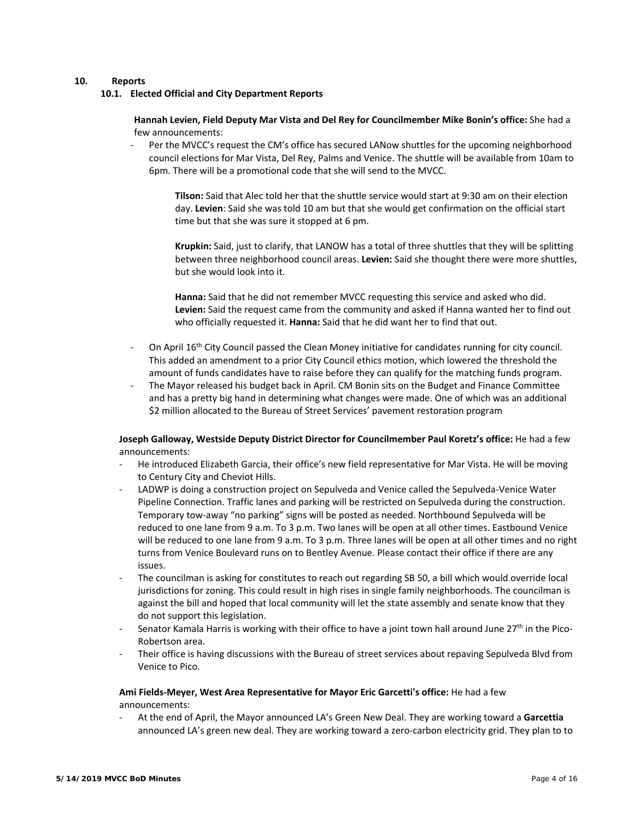## **10. Reports**

**10.1. Elected Official and City Department Reports** 

 **Hannah Levien, Field Deputy Mar Vista and Del Rey for Councilmember Mike Bonin's office:** She had a few announcements:

‐ Per the MVCC's request the CM's office has secured LANow shuttles for the upcoming neighborhood council elections for Mar Vista, Del Rey, Palms and Venice. The shuttle will be available from 10am to 6pm. There will be a promotional code that she will send to the MVCC.

**Tilson:** Said that Alec told her that the shuttle service would start at 9:30 am on their election day. **Levien**: Said she was told 10 am but that she would get confirmation on the official start time but that she was sure it stopped at 6 pm.

Krupkin: Said, just to clarify, that LANOW has a total of three shuttles that they will be splitting between three neighborhood council areas. **Levien:** Said she thought there were more shuttles, but she would look into it.

Hanna: Said that he did not remember MVCC requesting this service and asked who did. **Levien:** Said the request came from the community and asked if Hanna wanted her to find out who officially requested it. **Hanna:** Said that he did want her to find that out.

- On April 16<sup>th</sup> City Council passed the Clean Money initiative for candidates running for city council. This added an amendment to a prior City Council ethics motion, which lowered the threshold the amount of funds candidates have to raise before they can qualify for the matching funds program.
- The Mayor released his budget back in April. CM Bonin sits on the Budget and Finance Committee and has a pretty big hand in determining what changes were made. One of which was an additional \$2 million allocated to the Bureau of Street Services' pavement restoration program

# **Joseph Galloway, Westside Deputy District Director for Councilmember Paul Koretz's office:** He had a few announcements:

- ‐ He introduced Elizabeth Garcia, their office's new field representative for Mar Vista. He will be moving to Century City and Cheviot Hills.
- LADWP is doing a construction project on Sepulveda and Venice called the Sepulveda-Venice Water Pipeline Connection. Traffic lanes and parking will be restricted on Sepulveda during the construction. Temporary tow‐away "no parking" signs will be posted as needed. Northbound Sepulveda will be reduced to one lane from 9 a.m. To 3 p.m. Two lanes will be open at all other times. Eastbound Venice will be reduced to one lane from 9 a.m. To 3 p.m. Three lanes will be open at all other times and no right turns from Venice Boulevard runs on to Bentley Avenue. Please contact their office if there are any issues.
- ‐ The councilman is asking for constitutes to reach out regarding SB 50, a bill which would override local jurisdictions for zoning. This could result in high rises in single family neighborhoods. The councilman is against the bill and hoped that local community will let the state assembly and senate know that they do not support this legislation.
- Senator Kamala Harris is working with their office to have a joint town hall around June  $27<sup>th</sup>$  in the Pico-Robertson area.
- Their office is having discussions with the Bureau of street services about repaving Sepulveda Blvd from Venice to Pico.

# **Ami Fields‐Meyer, West Area Representative for Mayor Eric Garcetti's office:** He had a few announcements:

‐ At the end of April, the Mayor announced LA's Green New Deal. They are working toward a **Garcettia**  announced LA's green new deal. They are working toward a zero-carbon electricity grid. They plan to to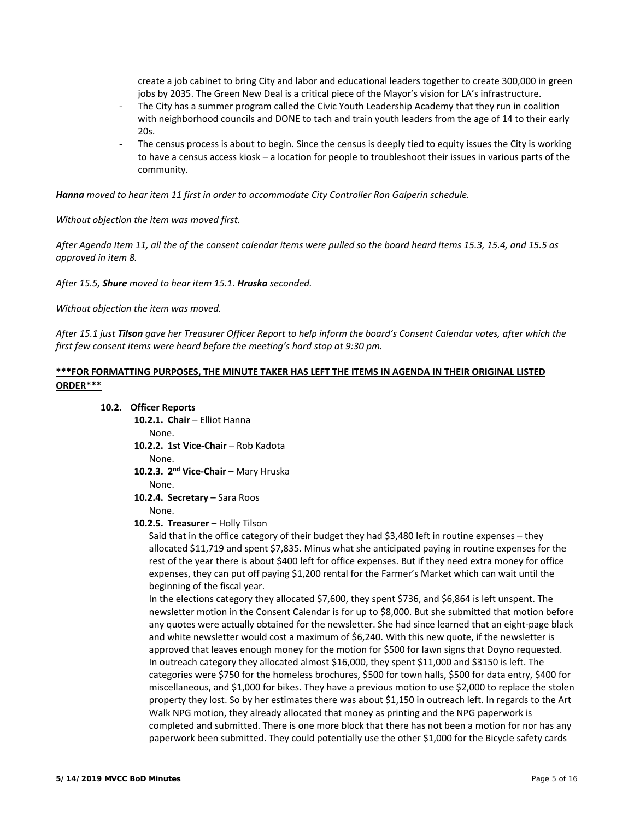create a job cabinet to bring City and labor and educational leaders together to create 300,000 in green jobs by 2035. The Green New Deal is a critical piece of the Mayor's vision for LA's infrastructure.

- The City has a summer program called the Civic Youth Leadership Academy that they run in coalition with neighborhood councils and DONE to tach and train youth leaders from the age of 14 to their early 20s.
- The census process is about to begin. Since the census is deeply tied to equity issues the City is working to have a census access kiosk – a location for people to troubleshoot their issues in various parts of the community.

*Hanna moved to hear item 11 first in order to accommodate City Controller Ron Galperin schedule.* 

*Without objection the item was moved first.* 

*After Agenda Item 11, all the of the consent calendar items were pulled so the board heard items 15.3, 15.4, and 15.5 as approved in item 8.* 

*After 15.5, Shure moved to hear item 15.1. Hruska seconded.* 

*Without objection the item was moved.* 

*After 15.1 just Tilson gave her Treasurer Officer Report to help inform the board's Consent Calendar votes, after which the first few consent items were heard before the meeting's hard stop at 9:30 pm.* 

# **\*\*\*FOR FORMATTING PURPOSES, THE MINUTE TAKER HAS LEFT THE ITEMS IN AGENDA IN THEIR ORIGINAL LISTED ORDER\*\*\***

#### **10.2. Officer Reports**

**10.2.1. Chair** – Elliot Hanna

None.

**10.2.2. 1st Vice‐Chair** – Rob Kadota

None.

10.2.3. 2<sup>nd</sup> Vice-Chair - Mary Hruska

None.

10.2.4. **Secretary** - Sara Roos

# None.

## **10.2.5. Treasurer** – Holly Tilson

Said that in the office category of their budget they had \$3,480 left in routine expenses - they allocated \$11,719 and spent \$7,835. Minus what she anticipated paying in routine expenses for the rest of the year there is about \$400 left for office expenses. But if they need extra money for office expenses, they can put off paying \$1,200 rental for the Farmer's Market which can wait until the beginning of the fiscal year.

In the elections category they allocated \$7,600, they spent \$736, and \$6,864 is left unspent. The newsletter motion in the Consent Calendar is for up to \$8,000. But she submitted that motion before any quotes were actually obtained for the newsletter. She had since learned that an eight-page black and white newsletter would cost a maximum of \$6,240. With this new quote, if the newsletter is approved that leaves enough money for the motion for \$500 for lawn signs that Doyno requested. In outreach category they allocated almost \$16,000, they spent \$11,000 and \$3150 is left. The categories were \$750 for the homeless brochures, \$500 for town halls, \$500 for data entry, \$400 for miscellaneous, and \$1,000 for bikes. They have a previous motion to use \$2,000 to replace the stolen property they lost. So by her estimates there was about \$1,150 in outreach left. In regards to the Art Walk NPG motion, they already allocated that money as printing and the NPG paperwork is completed and submitted. There is one more block that there has not been a motion for nor has any paperwork been submitted. They could potentially use the other \$1,000 for the Bicycle safety cards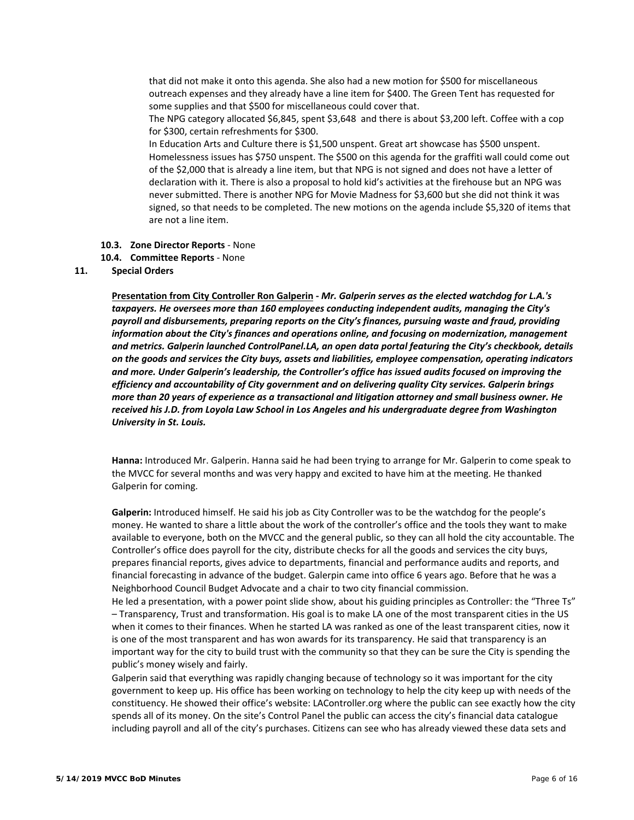that did not make it onto this agenda. She also had a new motion for \$500 for miscellaneous outreach expenses and they already have a line item for \$400. The Green Tent has requested for some supplies and that \$500 for miscellaneous could cover that.

The NPG category allocated \$6,845, spent \$3,648 and there is about \$3,200 left. Coffee with a cop for \$300, certain refreshments for \$300.

In Education Arts and Culture there is \$1,500 unspent. Great art showcase has \$500 unspent. Homelessness issues has \$750 unspent. The \$500 on this agenda for the graffiti wall could come out of the \$2,000 that is already a line item, but that NPG is not signed and does not have a letter of declaration with it. There is also a proposal to hold kid's activities at the firehouse but an NPG was never submitted. There is another NPG for Movie Madness for \$3,600 but she did not think it was signed, so that needs to be completed. The new motions on the agenda include \$5,320 of items that are not a line item.

#### **10.3. Zone Director Reports** ‐ None

**10.4. Committee Reports** ‐ None

## **11. Special Orders**

**Presentation from City Controller Ron Galperin ‐** *Mr. Galperin serves as the elected watchdog for L.A.'s taxpayers. He oversees more than 160 employees conducting independent audits, managing the City's payroll and disbursements, preparing reports on the City's finances, pursuing waste and fraud, providing information about the City's finances and operations online, and focusing on modernization, management and metrics. Galperin launched ControlPanel.LA, an open data portal featuring the City's checkbook, details on the goods and services the City buys, assets and liabilities, employee compensation, operating indicators and more. Under Galperin's leadership, the Controller's office has issued audits focused on improving the efficiency and accountability of City government and on delivering quality City services. Galperin brings more than 20 years of experience as a transactional and litigation attorney and small business owner. He received his J.D. from Loyola Law School in Los Angeles and his undergraduate degree from Washington University in St. Louis.*

 **Hanna:** Introduced Mr. Galperin. Hanna said he had been trying to arrange for Mr. Galperin to come speak to the MVCC for several months and was very happy and excited to have him at the meeting. He thanked Galperin for coming.

 **Galperin:** Introduced himself. He said his job as City Controller was to be the watchdog for the people's money. He wanted to share a little about the work of the controller's office and the tools they want to make available to everyone, both on the MVCC and the general public, so they can all hold the city accountable. The Controller's office does payroll for the city, distribute checks for all the goods and services the city buys, prepares financial reports, gives advice to departments, financial and performance audits and reports, and financial forecasting in advance of the budget. Galerpin came into office 6 years ago. Before that he was a Neighborhood Council Budget Advocate and a chair to two city financial commission.

 He led a presentation, with a power point slide show, about his guiding principles as Controller: the "Three Ts" – Transparency, Trust and transformation. His goal is to make LA one of the most transparent cities in the US when it comes to their finances. When he started LA was ranked as one of the least transparent cities, now it is one of the most transparent and has won awards for its transparency. He said that transparency is an important way for the city to build trust with the community so that they can be sure the City is spending the public's money wisely and fairly.

 Galperin said that everything was rapidly changing because of technology so it was important for the city government to keep up. His office has been working on technology to help the city keep up with needs of the constituency. He showed their office's website: LAController.org where the public can see exactly how the city spends all of its money. On the site's Control Panel the public can access the city's financial data catalogue including payroll and all of the city's purchases. Citizens can see who has already viewed these data sets and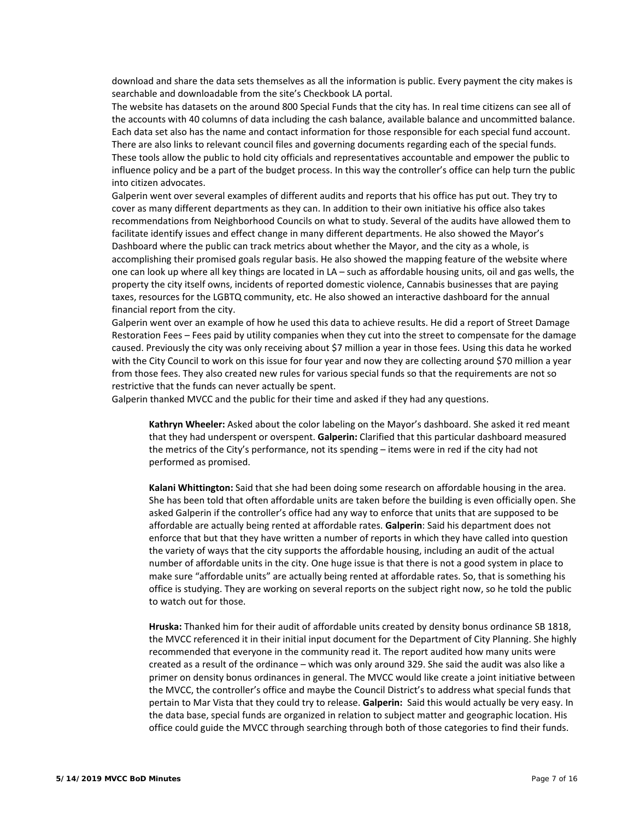download and share the data sets themselves as all the information is public. Every payment the city makes is searchable and downloadable from the site's Checkbook LA portal.

 The website has datasets on the around 800 Special Funds that the city has. In real time citizens can see all of the accounts with 40 columns of data including the cash balance, available balance and uncommitted balance. Each data set also has the name and contact information for those responsible for each special fund account. There are also links to relevant council files and governing documents regarding each of the special funds. These tools allow the public to hold city officials and representatives accountable and empower the public to influence policy and be a part of the budget process. In this way the controller's office can help turn the public into citizen advocates.

 Galperin went over several examples of different audits and reports that his office has put out. They try to cover as many different departments as they can. In addition to their own initiative his office also takes recommendations from Neighborhood Councils on what to study. Several of the audits have allowed them to facilitate identify issues and effect change in many different departments. He also showed the Mayor's Dashboard where the public can track metrics about whether the Mayor, and the city as a whole, is accomplishing their promised goals regular basis. He also showed the mapping feature of the website where one can look up where all key things are located in LA – such as affordable housing units, oil and gas wells, the property the city itself owns, incidents of reported domestic violence, Cannabis businesses that are paying taxes, resources for the LGBTQ community, etc. He also showed an interactive dashboard for the annual financial report from the city.

 Galperin went over an example of how he used this data to achieve results. He did a report of Street Damage Restoration Fees – Fees paid by utility companies when they cut into the street to compensate for the damage caused. Previously the city was only receiving about \$7 million a year in those fees. Using this data he worked with the City Council to work on this issue for four year and now they are collecting around \$70 million a year from those fees. They also created new rules for various special funds so that the requirements are not so restrictive that the funds can never actually be spent.

Galperin thanked MVCC and the public for their time and asked if they had any questions.

Kathryn Wheeler: Asked about the color labeling on the Mayor's dashboard. She asked it red meant that they had underspent or overspent. **Galperin:** Clarified that this particular dashboard measured the metrics of the City's performance, not its spending – items were in red if the city had not performed as promised.

Kalani Whittington: Said that she had been doing some research on affordable housing in the area. She has been told that often affordable units are taken before the building is even officially open. She asked Galperin if the controller's office had any way to enforce that units that are supposed to be affordable are actually being rented at affordable rates. **Galperin**: Said his department does not enforce that but that they have written a number of reports in which they have called into question the variety of ways that the city supports the affordable housing, including an audit of the actual number of affordable units in the city. One huge issue is that there is not a good system in place to make sure "affordable units" are actually being rented at affordable rates. So, that is something his office is studying. They are working on several reports on the subject right now, so he told the public to watch out for those.

Hruska: Thanked him for their audit of affordable units created by density bonus ordinance SB 1818, the MVCC referenced it in their initial input document for the Department of City Planning. She highly recommended that everyone in the community read it. The report audited how many units were created as a result of the ordinance – which was only around 329. She said the audit was also like a primer on density bonus ordinances in general. The MVCC would like create a joint initiative between the MVCC, the controller's office and maybe the Council District's to address what special funds that pertain to Mar Vista that they could try to release. **Galperin:**  Said this would actually be very easy. In the data base, special funds are organized in relation to subject matter and geographic location. His office could guide the MVCC through searching through both of those categories to find their funds.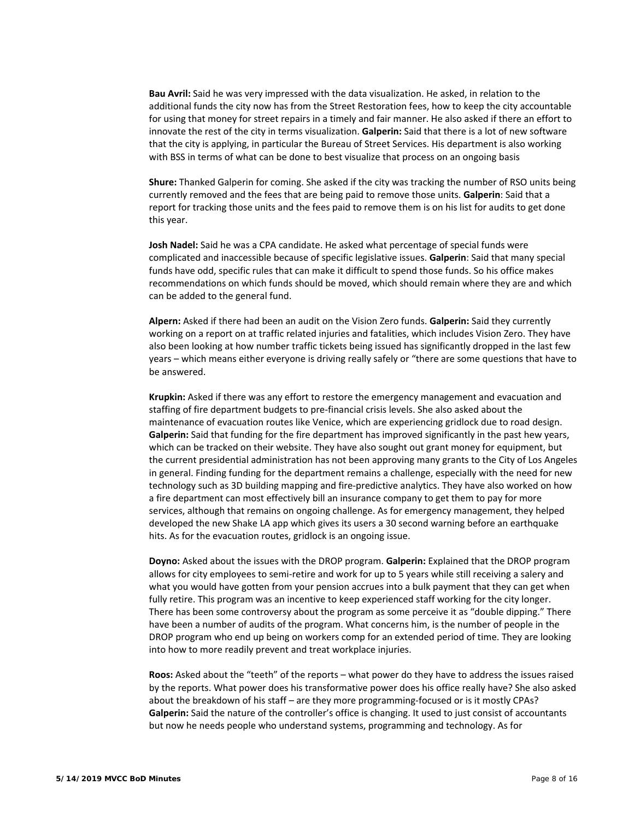Bau Avril: Said he was very impressed with the data visualization. He asked, in relation to the additional funds the city now has from the Street Restoration fees, how to keep the city accountable for using that money for street repairs in a timely and fair manner. He also asked if there an effort to innovate the rest of the city in terms visualization. **Galperin:** Said that there is a lot of new software that the city is applying, in particular the Bureau of Street Services. His department is also working with BSS in terms of what can be done to best visualize that process on an ongoing basis

Shure: Thanked Galperin for coming. She asked if the city was tracking the number of RSO units being currently removed and the fees that are being paid to remove those units. **Galperin**: Said that a report for tracking those units and the fees paid to remove them is on his list for audits to get done this year.

Josh Nadel: Said he was a CPA candidate. He asked what percentage of special funds were complicated and inaccessible because of specific legislative issues. **Galperin**: Said that many special funds have odd, specific rules that can make it difficult to spend those funds. So his office makes recommendations on which funds should be moved, which should remain where they are and which can be added to the general fund.

o **Alpern:** Asked if there had been an audit on the Vision Zero funds. **Galperin:** Said they currently working on a report on at traffic related injuries and fatalities, which includes Vision Zero. They have also been looking at how number traffic tickets being issued has significantly dropped in the last few years – which means either everyone is driving really safely or "there are some questions that have to be answered.

Krupkin: Asked if there was any effort to restore the emergency management and evacuation and staffing of fire department budgets to pre‐financial crisis levels. She also asked about the maintenance of evacuation routes like Venice, which are experiencing gridlock due to road design. **Galperin:** Said that funding for the fire department has improved significantly in the past hew years, which can be tracked on their website. They have also sought out grant money for equipment, but the current presidential administration has not been approving many grants to the City of Los Angeles in general. Finding funding for the department remains a challenge, especially with the need for new technology such as 3D building mapping and fire‐predictive analytics. They have also worked on how a fire department can most effectively bill an insurance company to get them to pay for more services, although that remains on ongoing challenge. As for emergency management, they helped developed the new Shake LA app which gives its users a 30 second warning before an earthquake hits. As for the evacuation routes, gridlock is an ongoing issue.

**Doyno:** Asked about the issues with the DROP program. Galperin: Explained that the DROP program allows for city employees to semi‐retire and work for up to 5 years while still receiving a salery and what you would have gotten from your pension accrues into a bulk payment that they can get when fully retire. This program was an incentive to keep experienced staff working for the city longer. There has been some controversy about the program as some perceive it as "double dipping." There have been a number of audits of the program. What concerns him, is the number of people in the DROP program who end up being on workers comp for an extended period of time. They are looking into how to more readily prevent and treat workplace injuries.

Roos: Asked about the "teeth" of the reports – what power do they have to address the issues raised by the reports. What power does his transformative power does his office really have? She also asked about the breakdown of his staff – are they more programming-focused or is it mostly CPAs? **Galperin:** Said the nature of the controller's office is changing. It used to just consist of accountants but now he needs people who understand systems, programming and technology. As for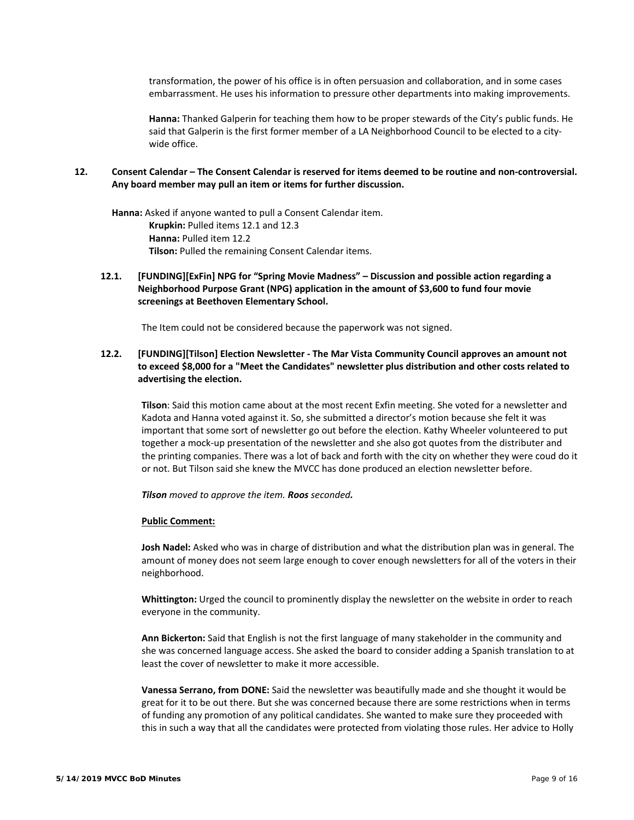transformation, the power of his office is in often persuasion and collaboration, and in some cases embarrassment. He uses his information to pressure other departments into making improvements.

Hanna: Thanked Galperin for teaching them how to be proper stewards of the City's public funds. He said that Galperin is the first former member of a LA Neighborhood Council to be elected to a city‐ wide office.

## **12. Consent Calendar – The Consent Calendar is reserved for items deemed to be routine and non‐controversial. Any board member may pull an item or items for further discussion.**

 **Hanna:** Asked if anyone wanted to pull a Consent Calendar item. o **Krupkin:** Pulled items 12.1 and 12.3 o **Hanna:** Pulled item 12.2 Tilson: Pulled the remaining Consent Calendar items.

**12.1. [FUNDING][ExFin] NPG for "Spring Movie Madness" – Discussion and possible action regarding a Neighborhood Purpose Grant (NPG) application in the amount of \$3,600 to fund four movie screenings at Beethoven Elementary School.** 

The Item could not be considered because the paperwork was not signed.

**12.2. [FUNDING][Tilson] Election Newsletter ‐ The Mar Vista Community Council approves an amount not to exceed \$8,000 for a "Meet the Candidates" newsletter plus distribution and other costs related to advertising the election.** 

 **Tilson**: Said this motion came about at the most recent Exfin meeting. She voted for a newsletter and Kadota and Hanna voted against it. So, she submitted a director's motion because she felt it was important that some sort of newsletter go out before the election. Kathy Wheeler volunteered to put together a mock‐up presentation of the newsletter and she also got quotes from the distributer and the printing companies. There was a lot of back and forth with the city on whether they were coud do it or not. But Tilson said she knew the MVCC has done produced an election newsletter before.

*Tilson moved to approve the item. Roos seconded.* 

#### **Public Comment:**

 **Josh Nadel:** Asked who was in charge of distribution and what the distribution plan was in general. The amount of money does not seem large enough to cover enough newsletters for all of the voters in their neighborhood.

 **Whittington:** Urged the council to prominently display the newsletter on the website in order to reach everyone in the community.

 **Ann Bickerton:** Said that English is not the first language of many stakeholder in the community and she was concerned language access. She asked the board to consider adding a Spanish translation to at least the cover of newsletter to make it more accessible.

 **Vanessa Serrano, from DONE:** Said the newsletter was beautifully made and she thought it would be great for it to be out there. But she was concerned because there are some restrictions when in terms of funding any promotion of any political candidates. She wanted to make sure they proceeded with this in such a way that all the candidates were protected from violating those rules. Her advice to Holly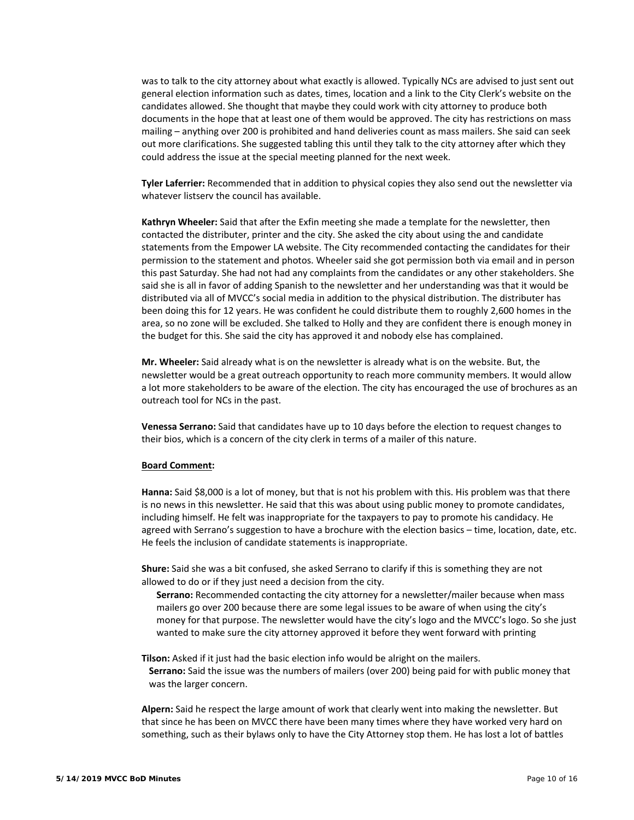was to talk to the city attorney about what exactly is allowed. Typically NCs are advised to just sent out general election information such as dates, times, location and a link to the City Clerk's website on the candidates allowed. She thought that maybe they could work with city attorney to produce both documents in the hope that at least one of them would be approved. The city has restrictions on mass mailing – anything over 200 is prohibited and hand deliveries count as mass mailers. She said can seek out more clarifications. She suggested tabling this until they talk to the city attorney after which they could address the issue at the special meeting planned for the next week.

 **Tyler Laferrier:** Recommended that in addition to physical copies they also send out the newsletter via whatever listserv the council has available.

 **Kathryn Wheeler:** Said that after the Exfin meeting she made a template for the newsletter, then contacted the distributer, printer and the city. She asked the city about using the and candidate statements from the Empower LA website. The City recommended contacting the candidates for their permission to the statement and photos. Wheeler said she got permission both via email and in person this past Saturday. She had not had any complaints from the candidates or any other stakeholders. She said she is all in favor of adding Spanish to the newsletter and her understanding was that it would be distributed via all of MVCC's social media in addition to the physical distribution. The distributer has been doing this for 12 years. He was confident he could distribute them to roughly 2,600 homes in the area, so no zone will be excluded. She talked to Holly and they are confident there is enough money in the budget for this. She said the city has approved it and nobody else has complained.

 **Mr. Wheeler:** Said already what is on the newsletter is already what is on the website. But, the newsletter would be a great outreach opportunity to reach more community members. It would allow a lot more stakeholders to be aware of the election. The city has encouraged the use of brochures as an outreach tool for NCs in the past.

 **Venessa Serrano:** Said that candidates have up to 10 days before the election to request changes to their bios, which is a concern of the city clerk in terms of a mailer of this nature.

#### **Board Comment:**

 **Hanna:** Said \$8,000 is a lot of money, but that is not his problem with this. His problem was that there is no news in this newsletter. He said that this was about using public money to promote candidates, including himself. He felt was inappropriate for the taxpayers to pay to promote his candidacy. He agreed with Serrano's suggestion to have a brochure with the election basics – time, location, date, etc. He feels the inclusion of candidate statements is inappropriate.

 **Shure:** Said she was a bit confused, she asked Serrano to clarify if this is something they are not allowed to do or if they just need a decision from the city.

 **Serrano:** Recommended contacting the city attorney for a newsletter/mailer because when mass mailers go over 200 because there are some legal issues to be aware of when using the city's money for that purpose. The newsletter would have the city's logo and the MVCC's logo. So she just wanted to make sure the city attorney approved it before they went forward with printing

**Tilson:** Asked if it just had the basic election info would be alright on the mailers. Serrano: Said the issue was the numbers of mailers (over 200) being paid for with public money that was the larger concern.

Alpern: Said he respect the large amount of work that clearly went into making the newsletter. But that since he has been on MVCC there have been many times where they have worked very hard on something, such as their bylaws only to have the City Attorney stop them. He has lost a lot of battles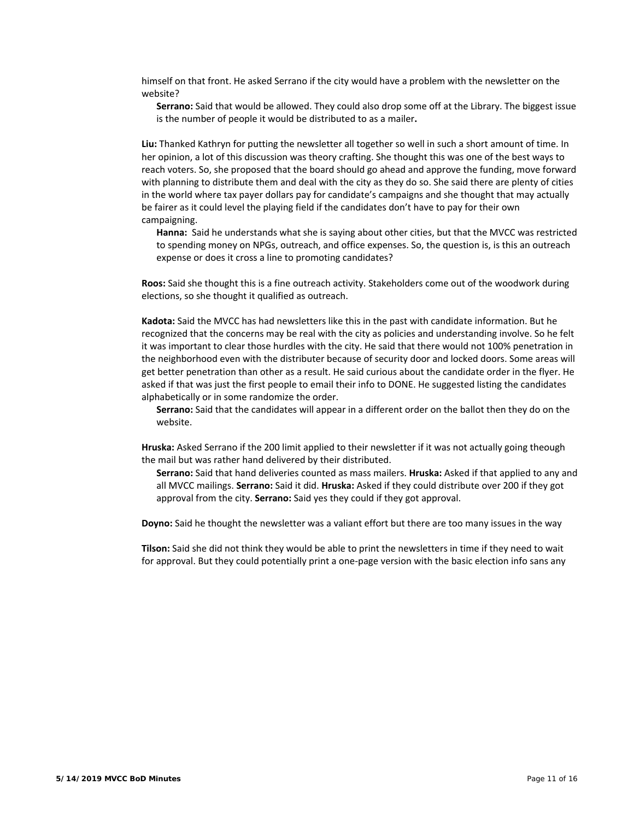himself on that front. He asked Serrano if the city would have a problem with the newsletter on the website?

 **Serrano:** Said that would be allowed. They could also drop some off at the Library. The biggest issue is the number of people it would be distributed to as a mailer**.** 

Liu: Thanked Kathryn for putting the newsletter all together so well in such a short amount of time. In her opinion, a lot of this discussion was theory crafting. She thought this was one of the best ways to reach voters. So, she proposed that the board should go ahead and approve the funding, move forward with planning to distribute them and deal with the city as they do so. She said there are plenty of cities in the world where tax payer dollars pay for candidate's campaigns and she thought that may actually be fairer as it could level the playing field if the candidates don't have to pay for their own campaigning.

 **Hanna:** Said he understands what she is saying about other cities, but that the MVCC was restricted to spending money on NPGs, outreach, and office expenses. So, the question is, is this an outreach expense or does it cross a line to promoting candidates?

Roos: Said she thought this is a fine outreach activity. Stakeholders come out of the woodwork during elections, so she thought it qualified as outreach.

Kadota: Said the MVCC has had newsletters like this in the past with candidate information. But he recognized that the concerns may be real with the city as policies and understanding involve. So he felt it was important to clear those hurdles with the city. He said that there would not 100% penetration in the neighborhood even with the distributer because of security door and locked doors. Some areas will get better penetration than other as a result. He said curious about the candidate order in the flyer. He asked if that was just the first people to email their info to DONE. He suggested listing the candidates alphabetically or in some randomize the order.

Serrano: Said that the candidates will appear in a different order on the ballot then they do on the website.

**Hruska:** Asked Serrano if the 200 limit applied to their newsletter if it was not actually going theough the mail but was rather hand delivered by their distributed.

o **Serrano:** Said that hand deliveries counted as mass mailers. **Hruska:** Asked if that applied to any and all MVCC mailings. **Serrano:** Said it did. **Hruska:** Asked if they could distribute over 200 if they got approval from the city. **Serrano:** Said yes they could if they got approval.

Doyno: Said he thought the newsletter was a valiant effort but there are too many issues in the way

**Tilson:** Said she did not think they would be able to print the newsletters in time if they need to wait for approval. But they could potentially print a one-page version with the basic election info sans any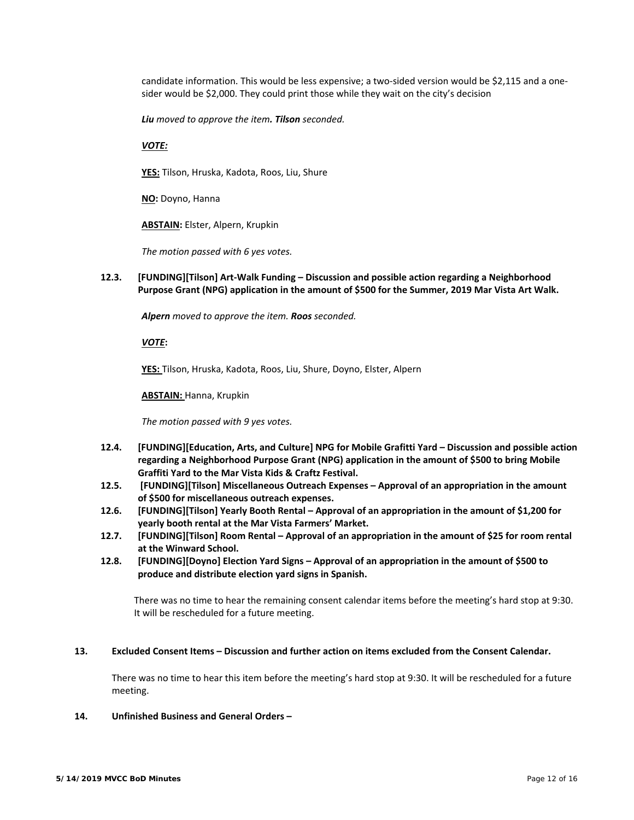candidate information. This would be less expensive; a two-sided version would be \$2,115 and a onesider would be \$2,000. They could print those while they wait on the city's decision

*Liu moved to approve the item. Tilson seconded.*

## *VOTE:*

**YES:** Tilson, Hruska, Kadota, Roos, Liu, Shure

**NO:** Doyno, Hanna

**ABSTAIN:** Elster, Alpern, Krupkin

*The motion passed with 6 yes votes.* 

**12.3. [FUNDING][Tilson] Art‐Walk Funding – Discussion and possible action regarding a Neighborhood Purpose Grant (NPG) application in the amount of \$500 for the Summer, 2019 Mar Vista Art Walk.** 

*Alpern moved to approve the item. Roos seconded.* 

*VOTE***:** 

**YES:** Tilson, Hruska, Kadota, Roos, Liu, Shure, Doyno, Elster, Alpern

**ABSTAIN:** Hanna, Krupkin

*The motion passed with 9 yes votes.* 

- **12.4. [FUNDING][Education, Arts, and Culture] NPG for Mobile Grafitti Yard Discussion and possible action regarding a Neighborhood Purpose Grant (NPG) application in the amount of \$500 to bring Mobile Graffiti Yard to the Mar Vista Kids & Craftz Festival.**
- **12.5. [FUNDING][Tilson] Miscellaneous Outreach Expenses Approval of an appropriation in the amount of \$500 for miscellaneous outreach expenses.**
- **12.6. [FUNDING][Tilson] Yearly Booth Rental Approval of an appropriation in the amount of \$1,200 for yearly booth rental at the Mar Vista Farmers' Market.**
- **12.7. [FUNDING][Tilson] Room Rental Approval of an appropriation in the amount of \$25 for room rental at the Winward School.**
- **12.8. [FUNDING][Doyno] Election Yard Signs Approval of an appropriation in the amount of \$500 to produce and distribute election yard signs in Spanish.**

 There was no time to hear the remaining consent calendar items before the meeting's hard stop at 9:30. It will be rescheduled for a future meeting.

## **13. Excluded Consent Items – Discussion and further action on items excluded from the Consent Calendar.**

 There was no time to hear this item before the meeting's hard stop at 9:30. It will be rescheduled for a future meeting.

## **14. Unfinished Business and General Orders –**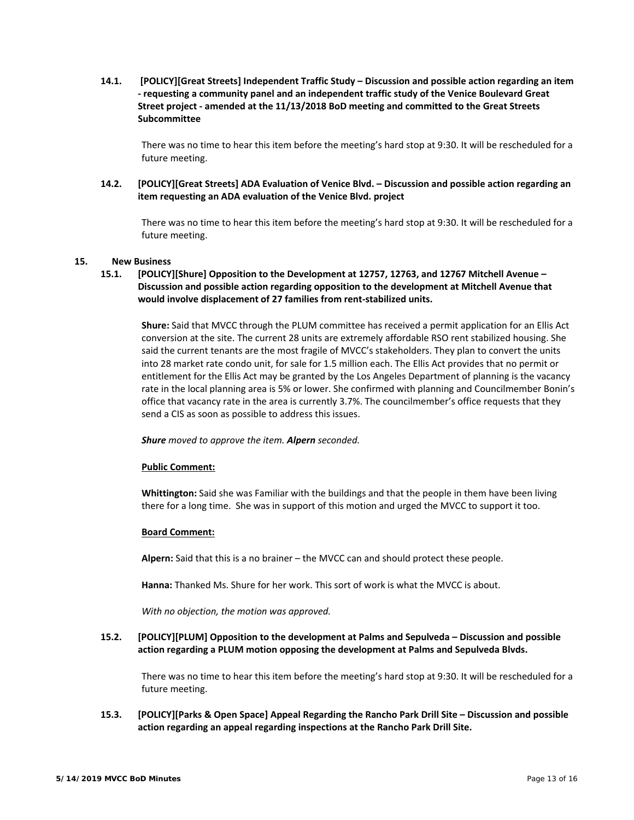**14.1. [POLICY][Great Streets] Independent Traffic Study – Discussion and possible action regarding an item ‐ requesting a community panel and an independent traffic study of the Venice Boulevard Great Street project ‐ amended at the 11/13/2018 BoD meeting and committed to the Great Streets Subcommittee** 

 There was no time to hear this item before the meeting's hard stop at 9:30. It will be rescheduled for a future meeting.

**14.2. [POLICY][Great Streets] ADA Evaluation of Venice Blvd. – Discussion and possible action regarding an item requesting an ADA evaluation of the Venice Blvd. project** 

 There was no time to hear this item before the meeting's hard stop at 9:30. It will be rescheduled for a future meeting.

## **15. New Business**

**15.1. [POLICY][Shure] Opposition to the Development at 12757, 12763, and 12767 Mitchell Avenue – Discussion and possible action regarding opposition to the development at Mitchell Avenue that would involve displacement of 27 families from rent‐stabilized units.** 

 **Shure:** Said that MVCC through the PLUM committee has received a permit application for an Ellis Act conversion at the site. The current 28 units are extremely affordable RSO rent stabilized housing. She said the current tenants are the most fragile of MVCC's stakeholders. They plan to convert the units into 28 market rate condo unit, for sale for 1.5 million each. The Ellis Act provides that no permit or entitlement for the Ellis Act may be granted by the Los Angeles Department of planning is the vacancy rate in the local planning area is 5% or lower. She confirmed with planning and Councilmember Bonin's office that vacancy rate in the area is currently 3.7%. The councilmember's office requests that they send a CIS as soon as possible to address this issues.

#### *Shure moved to approve the item. Alpern seconded.*

#### **Public Comment:**

 **Whittington:** Said she was Familiar with the buildings and that the people in them have been living there for a long time. She was in support of this motion and urged the MVCC to support it too.

#### **Board Comment:**

**Alpern:** Said that this is a no brainer – the MVCC can and should protect these people.

**Hanna:** Thanked Ms. Shure for her work. This sort of work is what the MVCC is about.

*With no objection, the motion was approved.* 

## **15.2. [POLICY][PLUM] Opposition to the development at Palms and Sepulveda – Discussion and possible action regarding a PLUM motion opposing the development at Palms and Sepulveda Blvds.**

 There was no time to hear this item before the meeting's hard stop at 9:30. It will be rescheduled for a future meeting.

**15.3. [POLICY][Parks & Open Space] Appeal Regarding the Rancho Park Drill Site – Discussion and possible action regarding an appeal regarding inspections at the Rancho Park Drill Site.**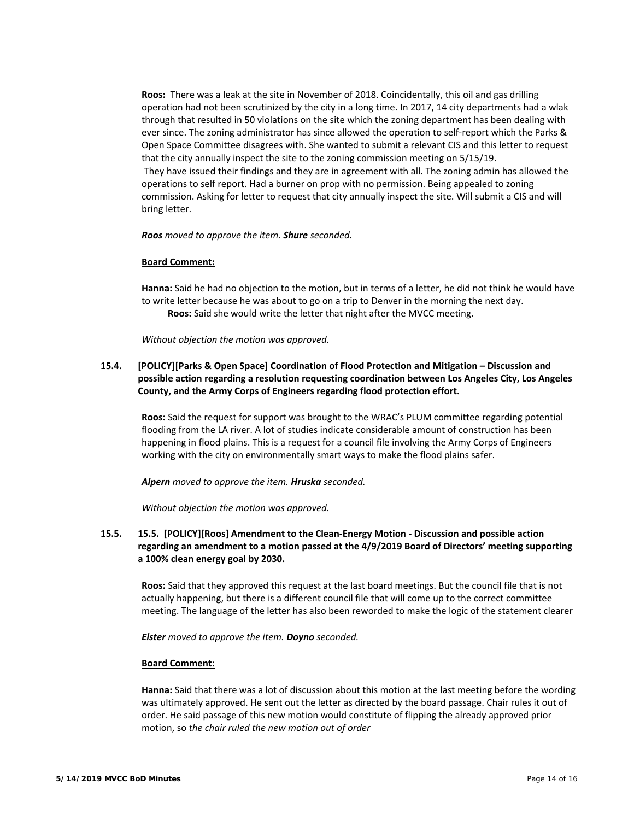**Roos:** There was a leak at the site in November of 2018. Coincidentally, this oil and gas drilling operation had not been scrutinized by the city in a long time. In 2017, 14 city departments had a wlak through that resulted in 50 violations on the site which the zoning department has been dealing with ever since. The zoning administrator has since allowed the operation to self‐report which the Parks & Open Space Committee disagrees with. She wanted to submit a relevant CIS and this letter to request that the city annually inspect the site to the zoning commission meeting on 5/15/19. They have issued their findings and they are in agreement with all. The zoning admin has allowed the operations to self report. Had a burner on prop with no permission. Being appealed to zoning commission. Asking for letter to request that city annually inspect the site. Will submit a CIS and will bring letter.

*Roos moved to approve the item. Shure seconded.* 

#### **Board Comment:**

 **Hanna:** Said he had no objection to the motion, but in terms of a letter, he did not think he would have to write letter because he was about to go on a trip to Denver in the morning the next day. Roos: Said she would write the letter that night after the MVCC meeting.

*Without objection the motion was approved.* 

# **15.4. [POLICY][Parks & Open Space] Coordination of Flood Protection and Mitigation – Discussion and possible action regarding a resolution requesting coordination between Los Angeles City, Los Angeles County, and the Army Corps of Engineers regarding flood protection effort.**

 **Roos:** Said the request for support was brought to the WRAC's PLUM committee regarding potential flooding from the LA river. A lot of studies indicate considerable amount of construction has been happening in flood plains. This is a request for a council file involving the Army Corps of Engineers working with the city on environmentally smart ways to make the flood plains safer.

*Alpern moved to approve the item. Hruska seconded.* 

*Without objection the motion was approved.* 

# **15.5. 15.5. [POLICY][Roos] Amendment to the Clean‐Energy Motion ‐ Discussion and possible action regarding an amendment to a motion passed at the 4/9/2019 Board of Directors' meeting supporting a 100% clean energy goal by 2030.**

 **Roos:** Said that they approved this request at the last board meetings. But the council file that is not actually happening, but there is a different council file that will come up to the correct committee meeting. The language of the letter has also been reworded to make the logic of the statement clearer

*Elster moved to approve the item. Doyno seconded.* 

#### **Board Comment:**

 **Hanna:** Said that there was a lot of discussion about this motion at the last meeting before the wording was ultimately approved. He sent out the letter as directed by the board passage. Chair rules it out of order. He said passage of this new motion would constitute of flipping the already approved prior motion, so *the chair ruled the new motion out of order*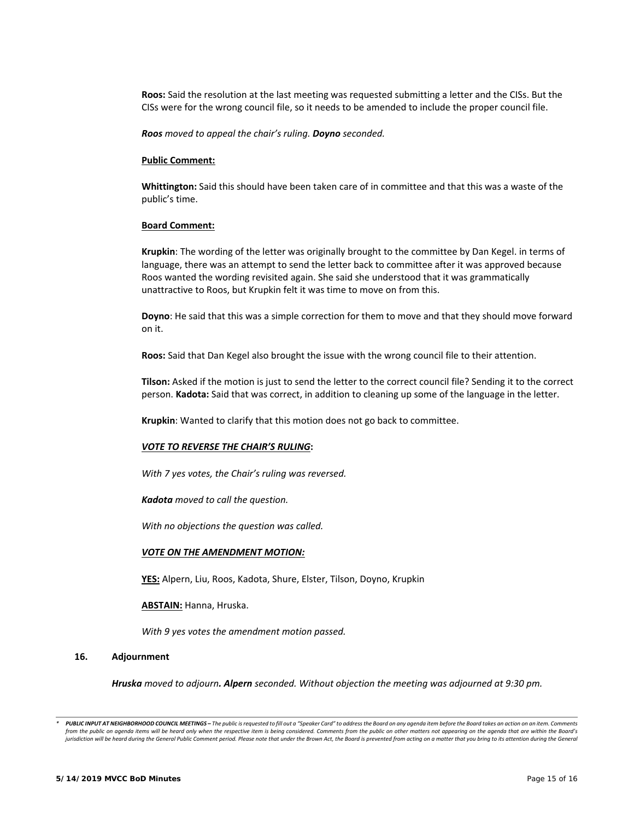**Roos:** Said the resolution at the last meeting was requested submitting a letter and the CISs. But the CISs were for the wrong council file, so it needs to be amended to include the proper council file.

*Roos moved to appeal the chair's ruling. Doyno seconded.* 

#### **Public Comment:**

 **Whittington:** Said this should have been taken care of in committee and that this was a waste of the public's time.

#### **Board Comment:**

 **Krupkin**: The wording of the letter was originally brought to the committee by Dan Kegel. in terms of language, there was an attempt to send the letter back to committee after it was approved because Roos wanted the wording revisited again. She said she understood that it was grammatically unattractive to Roos, but Krupkin felt it was time to move on from this.

 **Doyno**: He said that this was a simple correction for them to move and that they should move forward on it.

**Roos:** Said that Dan Kegel also brought the issue with the wrong council file to their attention.

 **Tilson:** Asked if the motion is just to send the letter to the correct council file? Sending it to the correct person. **Kadota:** Said that was correct, in addition to cleaning up some of the language in the letter.

**Krupkin**: Wanted to clarify that this motion does not go back to committee.

#### *VOTE TO REVERSE THE CHAIR'S RULING***:**

*With 7 yes votes, the Chair's ruling was reversed.* 

*Kadota moved to call the question.* 

*With no objections the question was called.* 

#### *VOTE ON THE AMENDMENT MOTION:*

**YES:** Alpern, Liu, Roos, Kadota, Shure, Elster, Tilson, Doyno, Krupkin

**ABSTAIN:** Hanna, Hruska.

*With 9 yes votes the amendment motion passed.*

#### **16. Adjournment**

*Hruska moved to adjourn. Alpern seconded. Without objection the meeting was adjourned at 9:30 pm.* 

*<sup>\*</sup>  PUBLIC INPUT AT NEIGHBORHOOD COUNCIL MEETINGS – The public is requested to fill out a "Speaker Card" to address the Board on any agenda item before the Board takes an action on an item. Comments*  from the public on agenda items will be heard only when the respective item is being considered. Comments from the public on other matters not appearing on the agenda that are within the Board's jurisdiction will be heard during the General Public Comment period. Please note that under the Brown Act, the Board is prevented from acting on a matter that you bring to its attention during the General